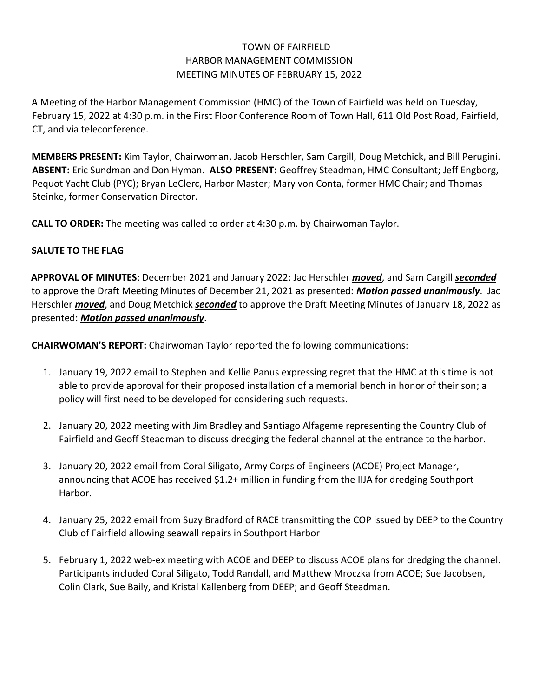# TOWN OF FAIRFIELD HARBOR MANAGEMENT COMMISSION MEETING MINUTES OF FEBRUARY 15, 2022

A Meeting of the Harbor Management Commission (HMC) of the Town of Fairfield was held on Tuesday, February 15, 2022 at 4:30 p.m. in the First Floor Conference Room of Town Hall, 611 Old Post Road, Fairfield, CT, and via teleconference.

**MEMBERS PRESENT:** Kim Taylor, Chairwoman, Jacob Herschler, Sam Cargill, Doug Metchick, and Bill Perugini. **ABSENT:** Eric Sundman and Don Hyman. **ALSO PRESENT:** Geoffrey Steadman, HMC Consultant; Jeff Engborg, Pequot Yacht Club (PYC); Bryan LeClerc, Harbor Master; Mary von Conta, former HMC Chair; and Thomas Steinke, former Conservation Director.

**CALL TO ORDER:** The meeting was called to order at 4:30 p.m. by Chairwoman Taylor.

## **SALUTE TO THE FLAG**

**APPROVAL OF MINUTES**: December 2021 and January 2022: Jac Herschler *moved*, and Sam Cargill *seconded* to approve the Draft Meeting Minutes of December 21, 2021 as presented: *Motion passed unanimously*. Jac Herschler *moved*, and Doug Metchick *seconded* to approve the Draft Meeting Minutes of January 18, 2022 as presented: *Motion passed unanimously*.

**CHAIRWOMAN'S REPORT:** Chairwoman Taylor reported the following communications:

- 1. January 19, 2022 email to Stephen and Kellie Panus expressing regret that the HMC at this time is not able to provide approval for their proposed installation of a memorial bench in honor of their son; a policy will first need to be developed for considering such requests.
- 2. January 20, 2022 meeting with Jim Bradley and Santiago Alfageme representing the Country Club of Fairfield and Geoff Steadman to discuss dredging the federal channel at the entrance to the harbor.
- 3. January 20, 2022 email from Coral Siligato, Army Corps of Engineers (ACOE) Project Manager, announcing that ACOE has received \$1.2+ million in funding from the IIJA for dredging Southport Harbor.
- 4. January 25, 2022 email from Suzy Bradford of RACE transmitting the COP issued by DEEP to the Country Club of Fairfield allowing seawall repairs in Southport Harbor
- 5. February 1, 2022 web-ex meeting with ACOE and DEEP to discuss ACOE plans for dredging the channel. Participants included Coral Siligato, Todd Randall, and Matthew Mroczka from ACOE; Sue Jacobsen, Colin Clark, Sue Baily, and Kristal Kallenberg from DEEP; and Geoff Steadman.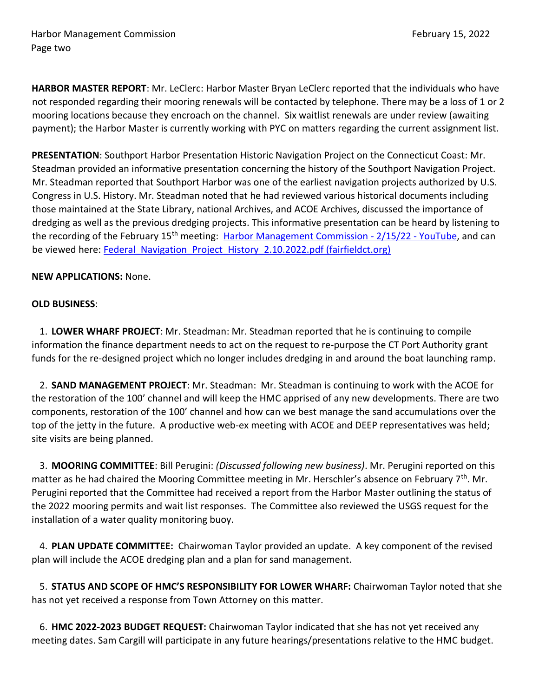**HARBOR MASTER REPORT**: Mr. LeClerc: Harbor Master Bryan LeClerc reported that the individuals who have not responded regarding their mooring renewals will be contacted by telephone. There may be a loss of 1 or 2 mooring locations because they encroach on the channel. Six waitlist renewals are under review (awaiting payment); the Harbor Master is currently working with PYC on matters regarding the current assignment list.

**PRESENTATION**: Southport Harbor Presentation Historic Navigation Project on the Connecticut Coast: Mr. Steadman provided an informative presentation concerning the history of the Southport Navigation Project. Mr. Steadman reported that Southport Harbor was one of the earliest navigation projects authorized by U.S. Congress in U.S. History. Mr. Steadman noted that he had reviewed various historical documents including those maintained at the State Library, national Archives, and ACOE Archives, discussed the importance of dredging as well as the previous dredging projects. This informative presentation can be heard by listening to the recording of the February 15<sup>th</sup> meeting: [Harbor Management Commission -](https://www.youtube.com/watch?v=QM5p7QN732I) 2/15/22 - YouTube, and can be viewed here: Federal Navigation Project History 2.10.2022.pdf (fairfieldct.org)

### **NEW APPLICATIONS:** None.

#### **OLD BUSINESS**:

1. **LOWER WHARF PROJECT**: Mr. Steadman: Mr. Steadman reported that he is continuing to compile information the finance department needs to act on the request to re-purpose the CT Port Authority grant funds for the re-designed project which no longer includes dredging in and around the boat launching ramp.

2. **SAND MANAGEMENT PROJECT**: Mr. Steadman: Mr. Steadman is continuing to work with the ACOE for the restoration of the 100' channel and will keep the HMC apprised of any new developments. There are two components, restoration of the 100' channel and how can we best manage the sand accumulations over the top of the jetty in the future. A productive web-ex meeting with ACOE and DEEP representatives was held; site visits are being planned.

3. **MOORING COMMITTEE**: Bill Perugini: *(Discussed following new business)*. Mr. Perugini reported on this matter as he had chaired the Mooring Committee meeting in Mr. Herschler's absence on February 7<sup>th</sup>. Mr. Perugini reported that the Committee had received a report from the Harbor Master outlining the status of the 2022 mooring permits and wait list responses. The Committee also reviewed the USGS request for the installation of a water quality monitoring buoy.

4. **PLAN UPDATE COMMITTEE:** Chairwoman Taylor provided an update. A key component of the revised plan will include the ACOE dredging plan and a plan for sand management.

5. **STATUS AND SCOPE OF HMC'S RESPONSIBILITY FOR LOWER WHARF:** Chairwoman Taylor noted that she has not yet received a response from Town Attorney on this matter.

6. **HMC 2022-2023 BUDGET REQUEST:** Chairwoman Taylor indicated that she has not yet received any meeting dates. Sam Cargill will participate in any future hearings/presentations relative to the HMC budget.